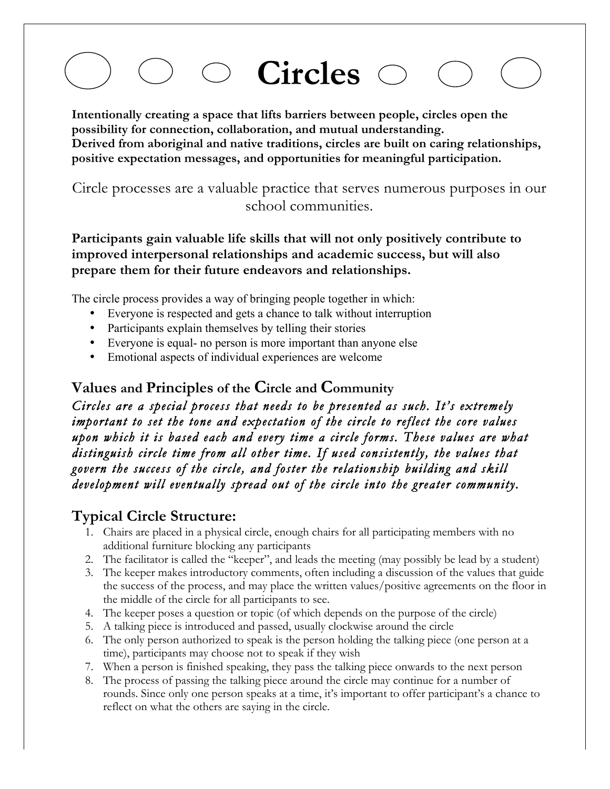# **Circles**

**Intentionally creating a space that lifts barriers between people, circles open the possibility for connection, collaboration, and mutual understanding. Derived from aboriginal and native traditions, circles are built on caring relationships, positive expectation messages, and opportunities for meaningful participation.**

Circle processes are a valuable practice that serves numerous purposes in our school communities.

#### **Participants gain valuable life skills that will not only positively contribute to improved interpersonal relationships and academic success, but will also prepare them for their future endeavors and relationships.**

The circle process provides a way of bringing people together in which:

- Everyone is respected and gets a chance to talk without interruption
- Participants explain themselves by telling their stories
- Everyone is equal- no person is more important than anyone else
- Emotional aspects of individual experiences are welcome

### **Values and Principles of the Circle and Community**

*Circles are a special process that needs to be presented as such. It's extremely important to set the tone and expectation of the circle to reflect the core values upon which it is based each and every time a circle forms. These values are what distinguish circle time from all other time. If used consistently, the values that govern the success of the circle, and foster the relationship building and skill development will eventually spread out of the circle into the greater community.* 

### **Typical Circle Structure:**

- 1. Chairs are placed in a physical circle, enough chairs for all participating members with no additional furniture blocking any participants
- 2. The facilitator is called the "keeper", and leads the meeting (may possibly be lead by a student)
- 3. The keeper makes introductory comments, often including a discussion of the values that guide the success of the process, and may place the written values/positive agreements on the floor in the middle of the circle for all participants to see.
- 4. The keeper poses a question or topic (of which depends on the purpose of the circle)
- 5. A talking piece is introduced and passed, usually clockwise around the circle
- 6. The only person authorized to speak is the person holding the talking piece (one person at a time), participants may choose not to speak if they wish
- 7. When a person is finished speaking, they pass the talking piece onwards to the next person
- 8. The process of passing the talking piece around the circle may continue for a number of rounds. Since only one person speaks at a time, it's important to offer participant's a chance to reflect on what the others are saying in the circle.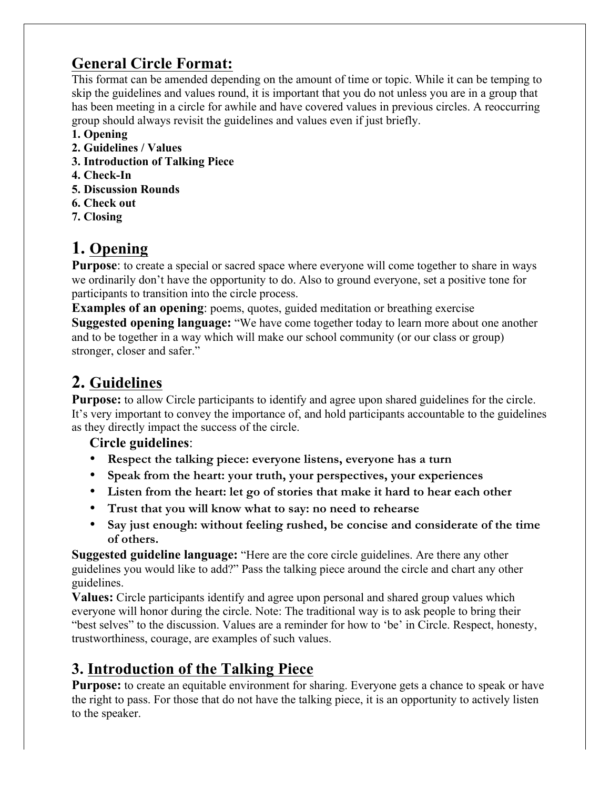### **General Circle Format:**

This format can be amended depending on the amount of time or topic. While it can be temping to skip the guidelines and values round, it is important that you do not unless you are in a group that has been meeting in a circle for awhile and have covered values in previous circles. A reoccurring group should always revisit the guidelines and values even if just briefly.

- **1. Opening**
- **2. Guidelines / Values**
- **3. Introduction of Talking Piece**
- **4. Check-In**
- **5. Discussion Rounds**
- **6. Check out**
- **7. Closing**

### **1. Opening**

**Purpose**: to create a special or sacred space where everyone will come together to share in ways we ordinarily don't have the opportunity to do. Also to ground everyone, set a positive tone for participants to transition into the circle process.

**Examples of an opening**: poems, quotes, guided meditation or breathing exercise **Suggested opening language:** "We have come together today to learn more about one another and to be together in a way which will make our school community (or our class or group) stronger, closer and safer."

### **2. Guidelines**

**Purpose:** to allow Circle participants to identify and agree upon shared guidelines for the circle. It's very important to convey the importance of, and hold participants accountable to the guidelines as they directly impact the success of the circle.

#### **Circle guidelines**:

- **Respect the talking piece: everyone listens, everyone has a turn**
- **Speak from the heart: your truth, your perspectives, your experiences**
- **Listen from the heart: let go of stories that make it hard to hear each other**
- **Trust that you will know what to say: no need to rehearse**
- **Say just enough: without feeling rushed, be concise and considerate of the time of others.**

**Suggested guideline language:** "Here are the core circle guidelines. Are there any other guidelines you would like to add?" Pass the talking piece around the circle and chart any other guidelines.

**Values:** Circle participants identify and agree upon personal and shared group values which everyone will honor during the circle. Note: The traditional way is to ask people to bring their "best selves" to the discussion. Values are a reminder for how to 'be' in Circle. Respect, honesty, trustworthiness, courage, are examples of such values.

### **3. Introduction of the Talking Piece**

**Purpose:** to create an equitable environment for sharing. Everyone gets a chance to speak or have the right to pass. For those that do not have the talking piece, it is an opportunity to actively listen to the speaker.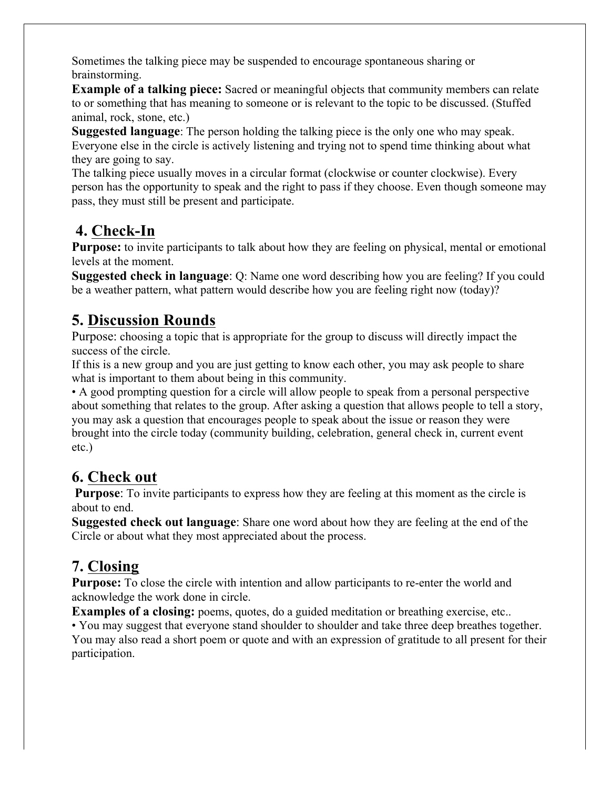Sometimes the talking piece may be suspended to encourage spontaneous sharing or brainstorming.

**Example of a talking piece:** Sacred or meaningful objects that community members can relate to or something that has meaning to someone or is relevant to the topic to be discussed. (Stuffed animal, rock, stone, etc.)

**Suggested language**: The person holding the talking piece is the only one who may speak. Everyone else in the circle is actively listening and trying not to spend time thinking about what they are going to say.

The talking piece usually moves in a circular format (clockwise or counter clockwise). Every person has the opportunity to speak and the right to pass if they choose. Even though someone may pass, they must still be present and participate.

### **4. Check-In**

**Purpose:** to invite participants to talk about how they are feeling on physical, mental or emotional levels at the moment.

**Suggested check in language**: Q: Name one word describing how you are feeling? If you could be a weather pattern, what pattern would describe how you are feeling right now (today)?

### **5. Discussion Rounds**

Purpose: choosing a topic that is appropriate for the group to discuss will directly impact the success of the circle.

If this is a new group and you are just getting to know each other, you may ask people to share what is important to them about being in this community.

• A good prompting question for a circle will allow people to speak from a personal perspective about something that relates to the group. After asking a question that allows people to tell a story, you may ask a question that encourages people to speak about the issue or reason they were brought into the circle today (community building, celebration, general check in, current event etc.)

### **6. Check out**

**Purpose**: To invite participants to express how they are feeling at this moment as the circle is about to end.

**Suggested check out language**: Share one word about how they are feeling at the end of the Circle or about what they most appreciated about the process.

### **7. Closing**

**Purpose:** To close the circle with intention and allow participants to re-enter the world and acknowledge the work done in circle.

**Examples of a closing:** poems, quotes, do a guided meditation or breathing exercise, etc..

• You may suggest that everyone stand shoulder to shoulder and take three deep breathes together. You may also read a short poem or quote and with an expression of gratitude to all present for their participation.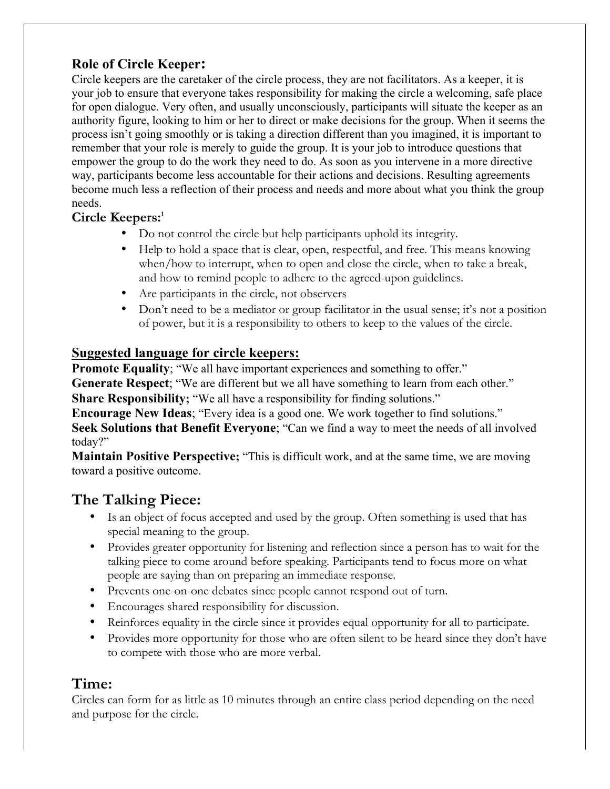### **Role of Circle Keeper:**

Circle keepers are the caretaker of the circle process, they are not facilitators. As a keeper, it is your job to ensure that everyone takes responsibility for making the circle a welcoming, safe place for open dialogue. Very often, and usually unconsciously, participants will situate the keeper as an authority figure, looking to him or her to direct or make decisions for the group. When it seems the process isn't going smoothly or is taking a direction different than you imagined, it is important to remember that your role is merely to guide the group. It is your job to introduce questions that empower the group to do the work they need to do. As soon as you intervene in a more directive way, participants become less accountable for their actions and decisions. Resulting agreements become much less a reflection of their process and needs and more about what you think the group needs.

#### **Circle Keepers:1**

- Do not control the circle but help participants uphold its integrity.
- Help to hold a space that is clear, open, respectful, and free. This means knowing when/how to interrupt, when to open and close the circle, when to take a break, and how to remind people to adhere to the agreed-upon guidelines.
- Are participants in the circle, not observers
- Don't need to be a mediator or group facilitator in the usual sense; it's not a position of power, but it is a responsibility to others to keep to the values of the circle.

#### **Suggested language for circle keepers:**

**Promote Equality**; "We all have important experiences and something to offer."

**Generate Respect**; "We are different but we all have something to learn from each other."

**Share Responsibility;** "We all have a responsibility for finding solutions."

**Encourage New Ideas**; "Every idea is a good one. We work together to find solutions." **Seek Solutions that Benefit Everyone**; "Can we find a way to meet the needs of all involved today?"

**Maintain Positive Perspective;** "This is difficult work, and at the same time, we are moving toward a positive outcome.

### **The Talking Piece:**

- Is an object of focus accepted and used by the group. Often something is used that has special meaning to the group.
- Provides greater opportunity for listening and reflection since a person has to wait for the talking piece to come around before speaking. Participants tend to focus more on what people are saying than on preparing an immediate response.
- Prevents one-on-one debates since people cannot respond out of turn.
- Encourages shared responsibility for discussion.
- Reinforces equality in the circle since it provides equal opportunity for all to participate.
- Provides more opportunity for those who are often silent to be heard since they don't have to compete with those who are more verbal.

### **Time:**

Circles can form for as little as 10 minutes through an entire class period depending on the need and purpose for the circle.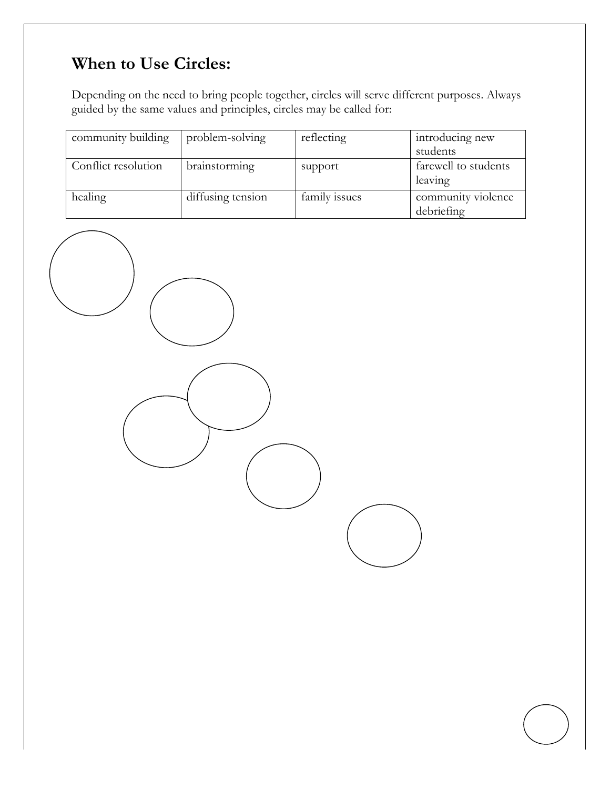### **When to Use Circles:**

Depending on the need to bring people together, circles will serve different purposes. Always guided by the same values and principles, circles may be called for:

| community building  | problem-solving   | reflecting    | introducing new                  |
|---------------------|-------------------|---------------|----------------------------------|
|                     |                   |               | students                         |
| Conflict resolution | brainstorming     | support       | farewell to students<br>leaving  |
| healing             | diffusing tension | family issues | community violence<br>debriefing |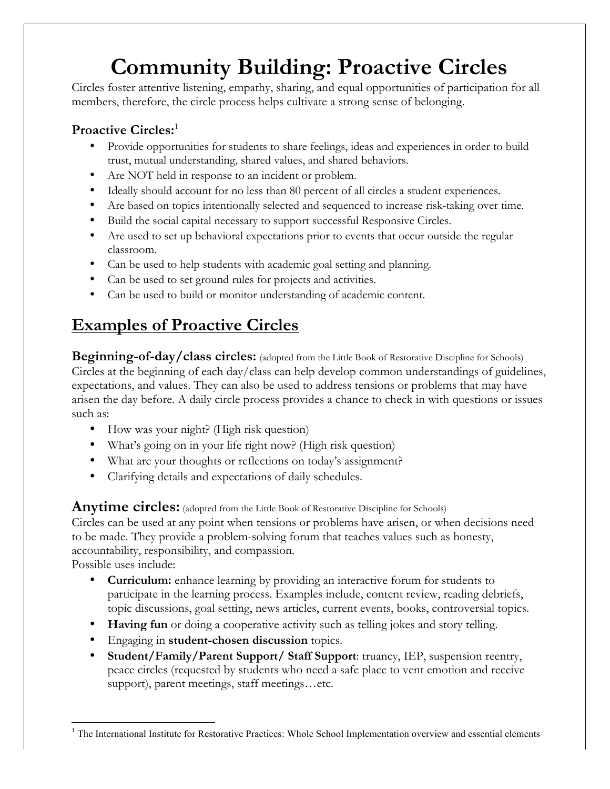# **Community Building: Proactive Circles**

Circles foster attentive listening, empathy, sharing, and equal opportunities of participation for all members, therefore, the circle process helps cultivate a strong sense of belonging.

#### **Proactive Circles:**<sup>1</sup>

- Provide opportunities for students to share feelings, ideas and experiences in order to build trust, mutual understanding, shared values, and shared behaviors.
- Are NOT held in response to an incident or problem.
- Ideally should account for no less than 80 percent of all circles a student experiences.
- Are based on topics intentionally selected and sequenced to increase risk-taking over time.
- Build the social capital necessary to support successful Responsive Circles.
- Are used to set up behavioral expectations prior to events that occur outside the regular classroom.
- Can be used to help students with academic goal setting and planning.
- Can be used to set ground rules for projects and activities.
- Can be used to build or monitor understanding of academic content.

### **Examples of Proactive Circles**

**Beginning-of-day/class circles:** (adopted from the Little Book of Restorative Discipline for Schools) Circles at the beginning of each day/class can help develop common understandings of guidelines, expectations, and values. They can also be used to address tensions or problems that may have arisen the day before. A daily circle process provides a chance to check in with questions or issues such as:

- How was your night? (High risk question)
- What's going on in your life right now? (High risk question)
- What are your thoughts or reflections on today's assignment?
- Clarifying details and expectations of daily schedules.

Anytime circles: (adopted from the Little Book of Restorative Discipline for Schools)

Circles can be used at any point when tensions or problems have arisen, or when decisions need to be made. They provide a problem-solving forum that teaches values such as honesty, accountability, responsibility, and compassion.

Possible uses include:

- **Curriculum:** enhance learning by providing an interactive forum for students to participate in the learning process. Examples include, content review, reading debriefs, topic discussions, goal setting, news articles, current events, books, controversial topics.
- **Having fun** or doing a cooperative activity such as telling jokes and story telling.
- Engaging in **student-chosen discussion** topics.
- **Student/Family/Parent Support/ Staff Support**: truancy, IEP, suspension reentry, peace circles (requested by students who need a safe place to vent emotion and receive support), parent meetings, staff meetings…etc.

 <sup>1</sup> The International Institute for Restorative Practices: Whole School Implementation overview and essential elements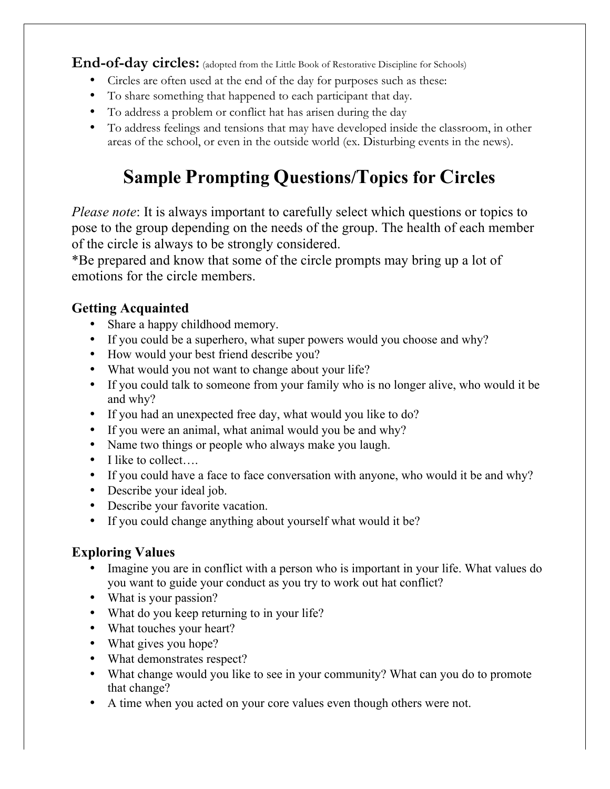**End-of-day circles:** (adopted from the Little Book of Restorative Discipline for Schools)

- Circles are often used at the end of the day for purposes such as these:
- To share something that happened to each participant that day.
- To address a problem or conflict hat has arisen during the day
- To address feelings and tensions that may have developed inside the classroom, in other areas of the school, or even in the outside world (ex. Disturbing events in the news).

## **Sample Prompting Questions/Topics for Circles**

*Please note*: It is always important to carefully select which questions or topics to pose to the group depending on the needs of the group. The health of each member of the circle is always to be strongly considered.

\*Be prepared and know that some of the circle prompts may bring up a lot of emotions for the circle members.

### **Getting Acquainted**

- Share a happy childhood memory.
- If you could be a superhero, what super powers would you choose and why?
- How would your best friend describe you?
- What would you not want to change about your life?
- If you could talk to someone from your family who is no longer alive, who would it be and why?
- If you had an unexpected free day, what would you like to do?
- If you were an animal, what animal would you be and why?
- Name two things or people who always make you laugh.
- I like to collect...
- If you could have a face to face conversation with anyone, who would it be and why?
- Describe your ideal job.
- Describe your favorite vacation.
- If you could change anything about yourself what would it be?

### **Exploring Values**

- Imagine you are in conflict with a person who is important in your life. What values do you want to guide your conduct as you try to work out hat conflict?
- What is your passion?
- What do you keep returning to in your life?
- What touches your heart?
- What gives you hope?
- What demonstrates respect?
- What change would you like to see in your community? What can you do to promote that change?
- A time when you acted on your core values even though others were not.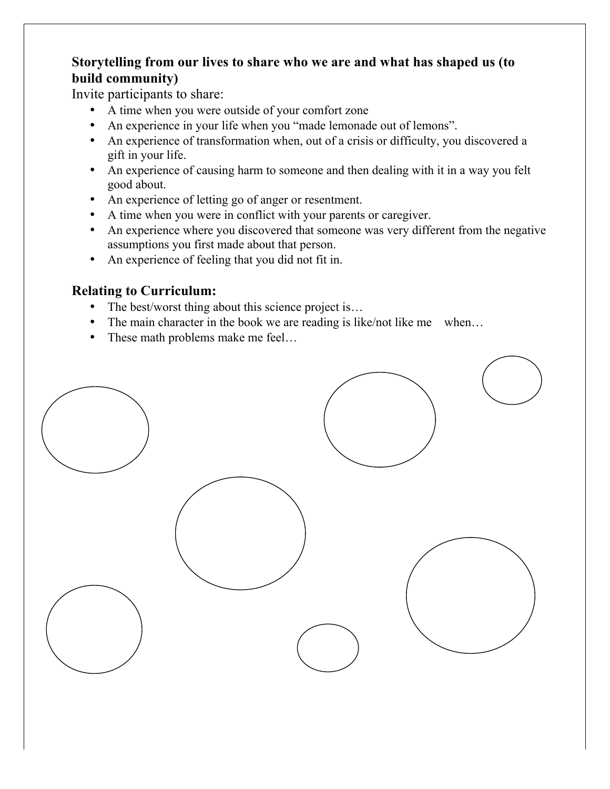### **Storytelling from our lives to share who we are and what has shaped us (to build community)**

Invite participants to share:

- A time when you were outside of your comfort zone
- An experience in your life when you "made lemonade out of lemons".
- An experience of transformation when, out of a crisis or difficulty, you discovered a gift in your life.
- An experience of causing harm to someone and then dealing with it in a way you felt good about.
- An experience of letting go of anger or resentment.
- A time when you were in conflict with your parents or caregiver.
- An experience where you discovered that someone was very different from the negative assumptions you first made about that person.
- An experience of feeling that you did not fit in.

#### **Relating to Curriculum:**

- The best/worst thing about this science project is...
- The main character in the book we are reading is like/not like me when...
- These math problems make me feel...

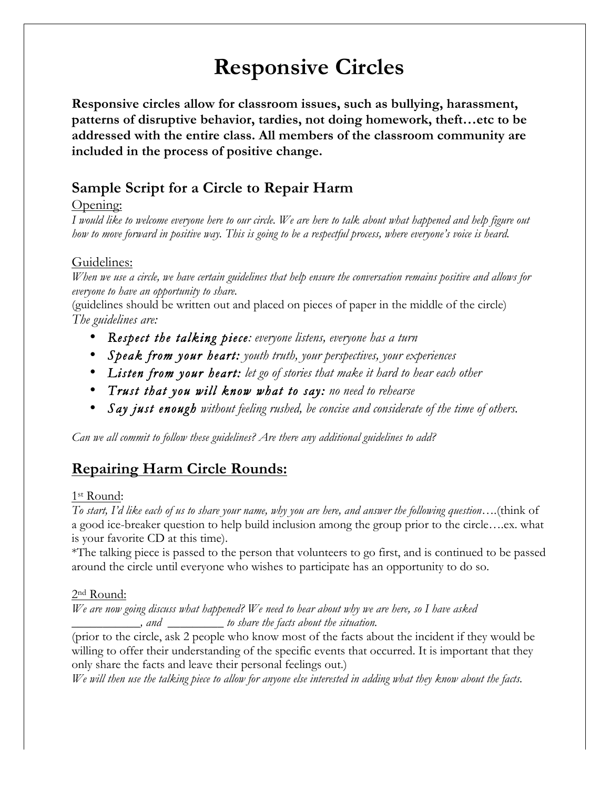# **Responsive Circles**

**Responsive circles allow for classroom issues, such as bullying, harassment, patterns of disruptive behavior, tardies, not doing homework, theft…etc to be addressed with the entire class. All members of the classroom community are included in the process of positive change.**

### **Sample Script for a Circle to Repair Harm**

#### Opening:

*I would like to welcome everyone here to our circle. We are here to talk about what happened and help figure out how to move forward in positive way. This is going to be a respectful process, where everyone's voice is heard.*

#### Guidelines:

*When we use a circle, we have certain guidelines that help ensure the conversation remains positive and allows for everyone to have an opportunity to share.* 

(guidelines should be written out and placed on pieces of paper in the middle of the circle) *The guidelines are:*

- *Respect the talking piece: everyone listens, everyone has a turn*
- *Speak from your heart: youth truth, your perspectives, your experiences*
- *Listen from your heart: let go of stories that make it hard to hear each other*
- *Trust that you will know what to say: no need to rehearse*
- *Say just enough without feeling rushed, be concise and considerate of the time of others.*

*Can we all commit to follow these guidelines? Are there any additional guidelines to add?*

### **Repairing Harm Circle Rounds:**

#### 1st Round:

*To start, I'd like each of us to share your name, why you are here, and answer the following question….*(think of a good ice-breaker question to help build inclusion among the group prior to the circle….ex. what is your favorite CD at this time).

\*The talking piece is passed to the person that volunteers to go first, and is continued to be passed around the circle until everyone who wishes to participate has an opportunity to do so.

#### 2nd Round:

*We are now going discuss what happened? We need to hear about why we are here, so I have asked \_\_\_\_\_\_\_\_\_\_\_, and \_\_\_\_\_\_\_\_\_ to share the facts about the situation.* 

(prior to the circle, ask 2 people who know most of the facts about the incident if they would be willing to offer their understanding of the specific events that occurred. It is important that they only share the facts and leave their personal feelings out.)

*We will then use the talking piece to allow for anyone else interested in adding what they know about the facts.*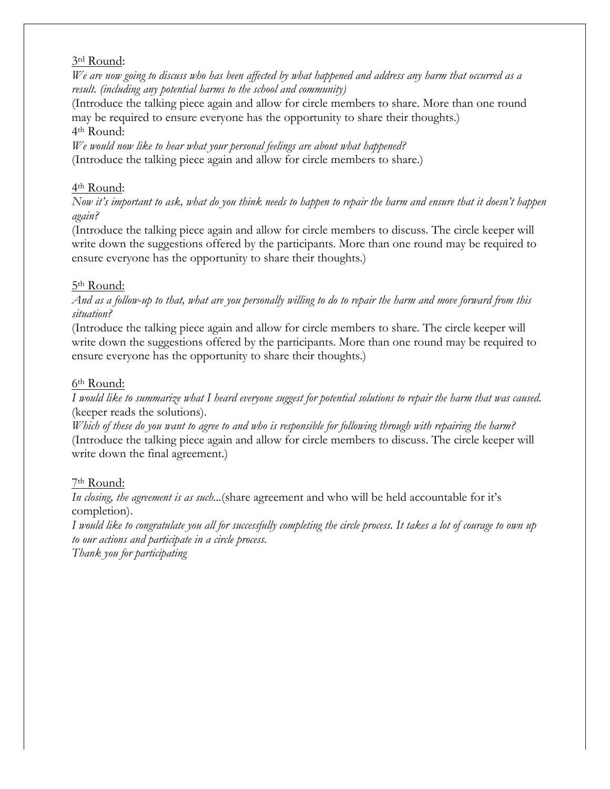#### 3rd Round:

*We are now going to discuss who has been affected by what happened and address any harm that occurred as a result. (including any potential harms to the school and community)*

(Introduce the talking piece again and allow for circle members to share. More than one round may be required to ensure everyone has the opportunity to share their thoughts.) 4th Round:

*We would now like to hear what your personal feelings are about what happened?* (Introduce the talking piece again and allow for circle members to share.)

#### 4th Round:

*Now it's important to ask, what do you think needs to happen to repair the harm and ensure that it doesn't happen again?*

(Introduce the talking piece again and allow for circle members to discuss. The circle keeper will write down the suggestions offered by the participants. More than one round may be required to ensure everyone has the opportunity to share their thoughts.)

#### 5th Round:

*And as a follow-up to that, what are you personally willing to do to repair the harm and move forward from this situation?*

(Introduce the talking piece again and allow for circle members to share. The circle keeper will write down the suggestions offered by the participants. More than one round may be required to ensure everyone has the opportunity to share their thoughts.)

#### 6th Round:

*I would like to summarize what I heard everyone suggest for potential solutions to repair the harm that was caused.*  (keeper reads the solutions).

*Which of these do you want to agree to and who is responsible for following through with repairing the harm?* (Introduce the talking piece again and allow for circle members to discuss. The circle keeper will write down the final agreement.)

#### 7th Round:

*In closing, the agreement is as such...*(share agreement and who will be held accountable for it's completion).

*I would like to congratulate you all for successfully completing the circle process. It takes a lot of courage to own up to our actions and participate in a circle process.* 

*Thank you for participating*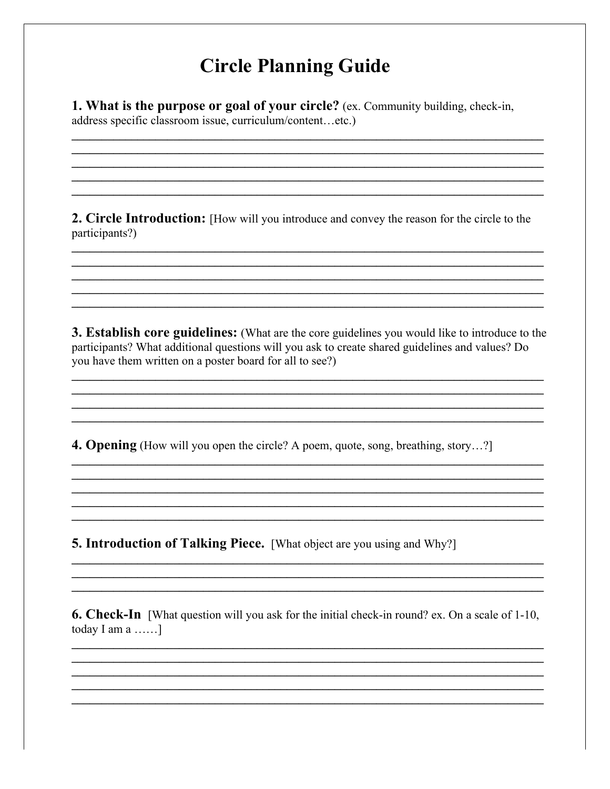### **Circle Planning Guide**

1. What is the purpose or goal of your circle? (ex. Community building, check-in, address specific classroom issue, curriculum/content...etc.)

**2. Circle Introduction:** [How will you introduce and convey the reason for the circle to the participants?)

**3. Establish core guidelines:** (What are the core guidelines you would like to introduce to the participants? What additional questions will you ask to create shared guidelines and values? Do you have them written on a poster board for all to see?)

4. Opening (How will you open the circle? A poem, quote, song, breathing, story...?)

**5. Introduction of Talking Piece.** [What object are you using and Why?]

**6. Check-In** [What question will you ask for the initial check-in round? ex. On a scale of 1-10, today I am  $a$  ......]